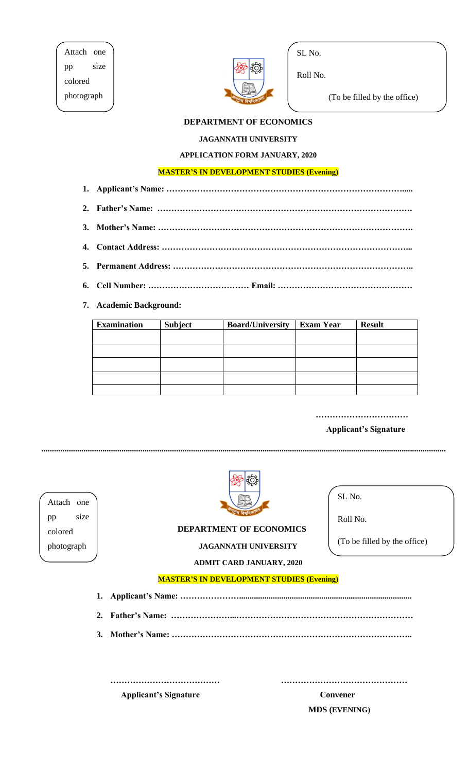Attach one pp size colored photograph



SL No.

Roll No.

(To be filled by the office)

# **DEPARTMENT OF ECONOMICS**

## **JAGANNATH UNIVERSITY**

# **APPLICATION FORM JANUARY, 2020**

## **MASTER'S IN DEVELOPMENT STUDIES (Evening)**

- **1. Applicant's Name: ………………………………………………………………………….....**
- **2. Father's Name: ……………………………………………………………………………….**
- **3. Mother's Name: ……………………………………………………………………………….**
- **4. Contact Address: ……………………………………………………………………………...**
- **5. Permanent Address: …………………………………………………………………………..**
- **6. Cell Number: ……………………………… Email: …………………………………………**

## **7. Academic Background:**

| <b>Examination</b> | <b>Subject</b> | <b>Board/University</b> | <b>Exam Year</b> | <b>Result</b> |
|--------------------|----------------|-------------------------|------------------|---------------|
|                    |                |                         |                  |               |
|                    |                |                         |                  |               |
|                    |                |                         |                  |               |
|                    |                |                         |                  |               |
|                    |                |                         |                  |               |

 **……………………………** 

#### **Applicant's Signature**

**................................................................................................................................................................................................**

Attach one pp size colored photograph



# **DEPARTMENT OF ECONOMICS**

# **JAGANNATH UNIVERSITY**

**ADMIT CARD JANUARY, 2020**

SL No.

Roll No.

(To be filled by the office)

#### **MASTER'S IN DEVELOPMENT STUDIES (Evening)**

- **1. Applicant's Name: …………………..................................................................................**
- **2. Father's Name: …………………...………………………………………………………**
- **3. Mother's Name: …………………………………………………………………………..**

| <b>Applicant's Signature</b> |  |
|------------------------------|--|

**Convener MDS (EVENING)**

**………………………………… ………………………………………**